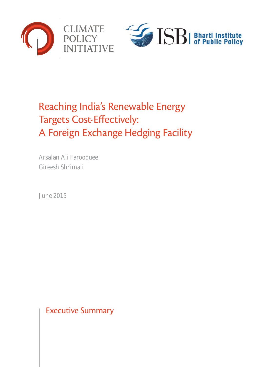



# Reaching India's Renewable Energy Targets Cost-Effectively: A Foreign Exchange Hedging Facility

Arsalan Ali Farooquee Gireesh Shrimali

June 2015

Executive Summary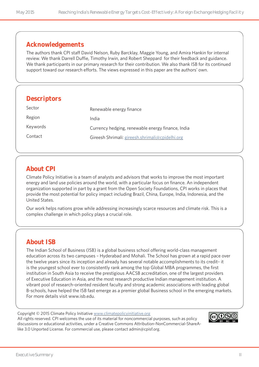### **Acknowledgements**

The authors thank CPI staff David Nelson, Ruby Barcklay, Maggie Young, and Amira Hankin for internal review. We thank Darrell Duffie, Timothy Irwin, and Robert Sheppard for their feedback and guidance. We thank participants in our primary research for their contribution. We also thank ISB for its continued support toward our research efforts. The views expressed in this paper are the authors' own.

### **Descriptors**

| Sector   | Renewable energy finance                          |
|----------|---------------------------------------------------|
| Region   | India                                             |
| Keywords | Currency hedging, renewable energy finance, India |
| Contact  | Gireesh Shrimali: gireesh.shrimali@cpidelhi.org   |
|          |                                                   |

# **About CPI**

Climate Policy Initiative is a team of analysts and advisors that works to improve the most important energy and land use policies around the world, with a particular focus on finance. An independent organization supported in part by a grant from the Open Society Foundations, CPI works in places that provide the most potential for policy impact including Brazil, China, Europe, India, Indonesia, and the United States.

Our work helps nations grow while addressing increasingly scarce resources and climate risk. This is a complex challenge in which policy plays a crucial role.

# **About ISB**

The Indian School of Business (ISB) is a global business school offering world-class management education across its two campuses – Hyderabad and Mohali. The School has grown at a rapid pace over the twelve years since its inception and already has several notable accomplishments to its credit– it is the youngest school ever to consistently rank among the top Global MBA programmes, the first institution in South Asia to receive the prestigious AACSB accreditation, one of the largest providers of Executive Education in Asia, and the most research productive Indian management institution. A vibrant pool of research-oriented resident faculty and strong academic associations with leading global B-schools, have helped the ISB fast emerge as a premier global Business school in the emerging markets. For more details visit www.isb.edu.

Copyright © 2015 Climate Policy Initiative [www.climatepolicyinitiative.org](http://www.climatepolicyinitiative.org ) All rights reserved. CPI welcomes the use of its material for noncommercial purposes, such as policy discussions or educational activities, under a Creative Commons Attribution-NonCommercial-ShareAlike 3.0 Unported License. For commercial use, please contact admin@cpisf.org.

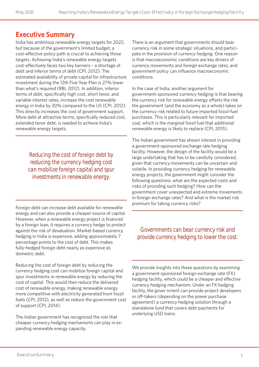# **Executive Summary**

India has ambitious renewable energy targets for 2022, but because of the government's limited budget, a cost-effective policy path is crucial to achieving those targets. Achieving India's renewable energy targets cost-effectively faces two key barriers – a shortage of debt and inferior terms of debt (CPI, 2012). The estimated availability of private capital for infrastructure investment during the 12th Five Year Plan is 27% lower than what's required (RBI, 2012). In addition, inferior terms of debt, specifically high cost, short tenor, and variable interest rates, increase the cost renewable energy in India by 30% compared to the US (CPI, 2012). This directly increases the cost of government support. More debt at attractive terms, specifically reduced cost, extended tenor debt, is needed to achieve India's renewable energy targets.

> *Reducing the cost of foreign debt by reducing the currency hedging cost can mobilize foreign capital and spur investments in renewable energy.*

Foreign debt can increase debt available for renewable energy and can also provide a cheaper source of capital. However, when a renewable energy project is financed by a foreign loan, it requires a currency hedge to protect against the risk of devaluation. Market-based currency hedging in India is expensive, adding approximately 7 percentage points to the cost of debt. This makes fully-hedged foreign debt nearly as expensive as domestic debt.

Reducing the cost of foreign debt by reducing the currency hedging cost can mobilize foreign capital and spur investments in renewable energy by reducing the cost of capital. This would then reduce the delivered cost of renewable energy, making renewable energy more competitive with electricity generated from fossil fuels (CPI, 2012), as well as reduce the government cost of support (CPI, 2014).

The Indian government has recognized the role that cheaper currency hedging mechanisms can play in expanding renewable energy capacity.

There is an argument that governments should bear currency risk in some strategic situations, and participate in the provision of currency hedging. One reason is that macroeconomic conditions are key drivers of currency movements and foreign exchange rates, and government policy can influence macroeconomic conditions.

In the case of India, another argument for government-sponsored currency hedging is that bearing the currency risk for renewable energy offsets the risk the government (and the economy as a whole) takes on the currency risk related to future imported fossil-fuel purchases. This is particularly relevant for imported coal, which is the marginal fossil fuel that additional renewable energy is likely to replace (CPI, 2015).

The Indian government has shown interest in providing a government-sponsored exchange rate hedging facility. However, the design of the facility would be a large undertaking that has to be carefully considered, given that currency movements can be uncertain and volatile. In providing currency hedging for renewable energy projects, the government might consider the following questions: what are the expected costs and risks of providing such hedging? How can the government cover unexpected and extreme movements in foreign exchange rates? And what is the market risk premium for taking currency risks?

*Governments can bear currency risk and provide currency hedging to lower the cost.*

We provide insights into these questions by examining a government-sponsored foreign exchange rate (FX) hedging facility, which could be a cheaper and effective currency hedging mechanism. Under an FX hedging facility, the gover nment can provide project developers or off-takers (depending on the power purchase agreement) a currency hedging solution through a standalone fund that covers debt payments for underlying USD loans.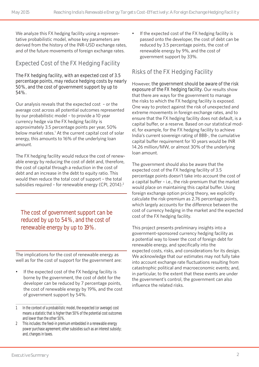We analyze this FX hedging facility using a representative probabilistic model, whose key parameters are derived from the history of the INR-USD exchange rates, and of the future movements of foreign exchange rates.

# **Expected Cost of the FX Hedging Facility**

#### **The FX hedging facility, with an expected cost of 3.5 percentage points, may reduce hedging costs by nearly 50%, and the cost of government support by up to 54%.**

Our analysis reveals that the expected cost – or the average cost across all potential outcomes represented by our probabilistic model – to provide a 10 year currency hedge via the FX hedging facility is approximately 3.5 percentage points per year, 50% below market rates.<sup>1</sup> At the current capital cost of solar energy, this amounts to 16% of the underlying loan amount.

The FX hedging facility would reduce the cost of renewable energy by reducing the cost of debt and, therefore, the cost of capital through a reduction in the cost of debt and an increase in the debt to equity ratio. This would then reduce the total cost of support – the total subsidies required - for renewable energy (CPI, 2014).<sup>2</sup>

*The cost of government support can be reduced by up to 54%, and the cost of renewable energy by up to 19%.* 

The implications for the cost of renewable energy as well as for the cost of support for the government are:

If the expected cost of the FX hedging facility is borne by the government, the cost of debt for the developer can be reduced by 7 percentage points, the cost of renewable energy by 19%, and the cost of government support by 54%.

If the expected cost of the FX hedging facility is passed onto the developer, the cost of debt can be reduced by 3.5 percentage points, the cost of renewable energy by 9%, and the cost of government support by 33%.

# **Risks of the FX Hedging Facility**

However, **the government should be aware of the risk exposure of the FX hedging facility.** Our results show that there are ways for the government to manage the risks to which the FX hedging facility is exposed. One way to protect against the risk of unexpected and extreme movements in foreign exchange rates, and to ensure that the FX hedging facility does not default, is a capital buffer, or a reserve. Based on our statistical model, for example, for the FX hedging facility to achieve India's current sovereign rating of BBB-, the cumulative capital buffer requirement for 10 years would be INR 14.26 million/MW, or almost 30% of the underlying loan amount.

The government should also be aware that the expected cost of the FX hedging facility of 3.5 percentage points doesn't take into account the cost of a capital buffer – i.e., the risk-premium that the market would place on maintaining this capital buffer. Using foreign exchange option pricing theory, we explicitly calculate the risk-premium as 2.76 percentage points, which largely accounts for the difference between the cost of currency hedging in the market and the expected cost of the FX hedging facility.

This project presents preliminary insights into a government-sponsored currency hedging facility as a potential way to lower the cost of foreign debt for renewable energy, and specifically into the expected costs, risks, and considerations for its design. We acknowledge that our estimates may not fully take into account exchange rate fluctuations resulting from catastrophic political and macroeconomic events; and, in particular, to the extent that these events are under the government's control, the government can also influence the related risks.

<sup>1</sup> In the context of a probabilistic model, the expected (or average) cost means a statistic that is higher than 50% of the potential cost outcomes and lower than the other 50%.

<sup>2</sup> This includes: the feed-in premium embedded in a renewable energy power purchase agreement; other subsidies such as an interest subsidy; and, changes in taxes.